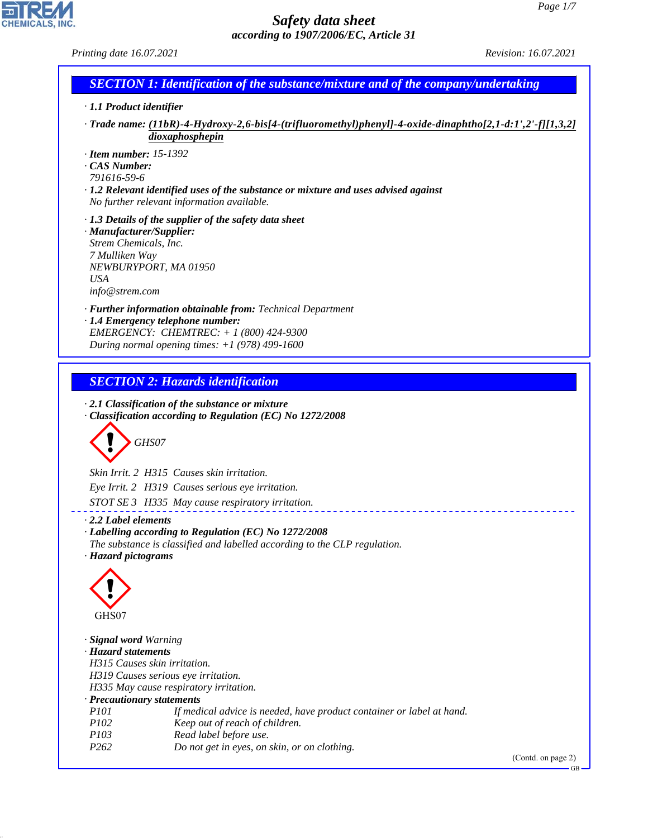|                                                                                                                              | according to 190//2006/EC, Article 31                                                                                                                                                           |                                                                                                         |
|------------------------------------------------------------------------------------------------------------------------------|-------------------------------------------------------------------------------------------------------------------------------------------------------------------------------------------------|---------------------------------------------------------------------------------------------------------|
| Printing date 16.07.2021                                                                                                     |                                                                                                                                                                                                 | Revision: 16.07.2021                                                                                    |
|                                                                                                                              | <b>SECTION 1: Identification of the substance/mixture and of the company/undertaking</b>                                                                                                        |                                                                                                         |
| $\cdot$ 1.1 Product identifier                                                                                               |                                                                                                                                                                                                 |                                                                                                         |
|                                                                                                                              | dioxaphosphepin                                                                                                                                                                                 | Trade name: (11bR)-4-Hydroxy-2,6-bis[4-(trifluoromethyl)phenyl]-4-oxide-dinaphtho[2,1-d:1',2'-f][1,3,2] |
| $\cdot$ Item number: 15-1392<br>CAS Number:<br>791616-59-6                                                                   | $\cdot$ 1.2 Relevant identified uses of the substance or mixture and uses advised against<br>No further relevant information available.                                                         |                                                                                                         |
| · Manufacturer/Supplier:<br>Strem Chemicals, Inc.<br>7 Mulliken Way<br>NEWBURYPORT, MA 01950<br><b>USA</b><br>info@strem.com | $\cdot$ 1.3 Details of the supplier of the safety data sheet                                                                                                                                    |                                                                                                         |
|                                                                                                                              | · Further information obtainable from: Technical Department<br>· 1.4 Emergency telephone number:<br>EMERGENCY: CHEMTREC: + 1 (800) 424-9300<br>During normal opening times: $+1$ (978) 499-1600 |                                                                                                         |
|                                                                                                                              |                                                                                                                                                                                                 |                                                                                                         |
|                                                                                                                              | <b>SECTION 2: Hazards identification</b>                                                                                                                                                        |                                                                                                         |
|                                                                                                                              |                                                                                                                                                                                                 |                                                                                                         |
|                                                                                                                              | $\cdot$ 2.1 Classification of the substance or mixture                                                                                                                                          |                                                                                                         |
|                                                                                                                              | · Classification according to Regulation (EC) No 1272/2008                                                                                                                                      |                                                                                                         |
| GHS07                                                                                                                        |                                                                                                                                                                                                 |                                                                                                         |
|                                                                                                                              | Skin Irrit. 2 H315 Causes skin irritation.                                                                                                                                                      |                                                                                                         |
|                                                                                                                              | Eye Irrit. 2 H319 Causes serious eye irritation.                                                                                                                                                |                                                                                                         |
|                                                                                                                              | STOT SE 3 H335 May cause respiratory irritation.                                                                                                                                                |                                                                                                         |
| $\cdot$ 2.2 Label elements                                                                                                   |                                                                                                                                                                                                 |                                                                                                         |
|                                                                                                                              | · Labelling according to Regulation (EC) No 1272/2008                                                                                                                                           |                                                                                                         |
| · Hazard pictograms                                                                                                          | The substance is classified and labelled according to the CLP regulation.                                                                                                                       |                                                                                                         |
|                                                                                                                              |                                                                                                                                                                                                 |                                                                                                         |
|                                                                                                                              |                                                                                                                                                                                                 |                                                                                                         |
| GHS07                                                                                                                        |                                                                                                                                                                                                 |                                                                                                         |
| · Signal word Warning                                                                                                        |                                                                                                                                                                                                 |                                                                                                         |
| · Hazard statements                                                                                                          |                                                                                                                                                                                                 |                                                                                                         |
| H315 Causes skin irritation.                                                                                                 | H319 Causes serious eye irritation.                                                                                                                                                             |                                                                                                         |
|                                                                                                                              | H335 May cause respiratory irritation.                                                                                                                                                          |                                                                                                         |
| · Precautionary statements                                                                                                   |                                                                                                                                                                                                 |                                                                                                         |
| <i>P101</i>                                                                                                                  | If medical advice is needed, have product container or label at hand.                                                                                                                           |                                                                                                         |
| P102<br>P103                                                                                                                 | Keep out of reach of children.<br>Read label before use.                                                                                                                                        |                                                                                                         |
| P <sub>262</sub>                                                                                                             | Do not get in eyes, on skin, or on clothing.                                                                                                                                                    |                                                                                                         |
|                                                                                                                              |                                                                                                                                                                                                 | (Contd. on page 2)                                                                                      |
|                                                                                                                              |                                                                                                                                                                                                 | GB-                                                                                                     |

44.1.1

CHEMICALS, INC.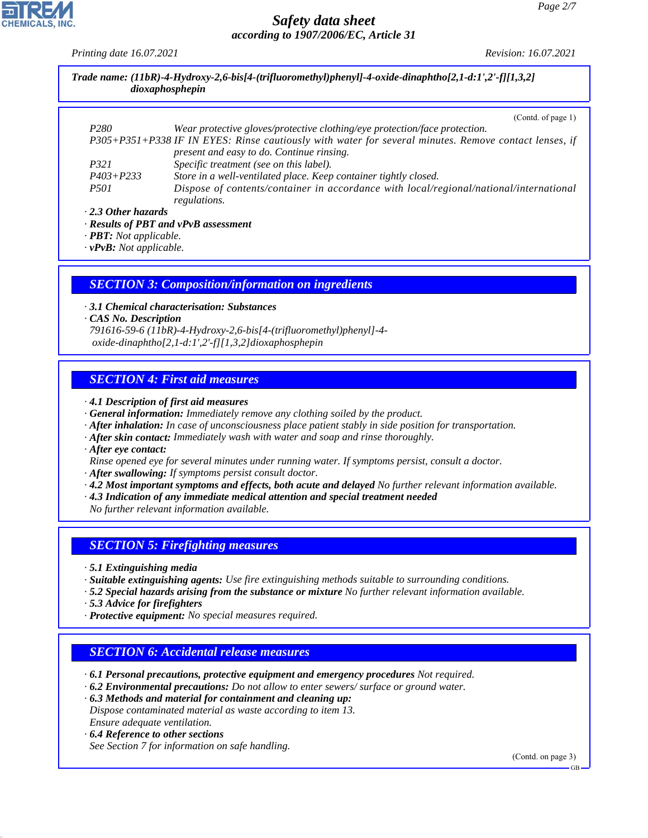*Printing date 16.07.2021 Revision: 16.07.2021*

| Trade name: $(11bR)$ -4-Hydroxy-2,6-bis[4-(trifluoromethyl)phenyl]-4-oxide-dinaphtho[2,1-d:1',2'-f][1,3,2]<br>dioxaphosphepin |                                                                                                                                                    |  |
|-------------------------------------------------------------------------------------------------------------------------------|----------------------------------------------------------------------------------------------------------------------------------------------------|--|
|                                                                                                                               | (Contd. of page 1)                                                                                                                                 |  |
| P <sub>280</sub>                                                                                                              | Wear protective gloves/protective clothing/eye protection/face protection.                                                                         |  |
|                                                                                                                               | P305+P351+P338 IF IN EYES: Rinse cautiously with water for several minutes. Remove contact lenses, if<br>present and easy to do. Continue rinsing. |  |
| P321                                                                                                                          | Specific treatment (see on this label).                                                                                                            |  |
| $P403 + P233$                                                                                                                 | Store in a well-ventilated place. Keep container tightly closed.                                                                                   |  |
| <i>P501</i>                                                                                                                   | Dispose of contents/container in accordance with local/regional/national/international<br>regulations.                                             |  |

*· 2.3 Other hazards*

*· Results of PBT and vPvB assessment*

*· PBT: Not applicable.*

*· vPvB: Not applicable.*

### *SECTION 3: Composition/information on ingredients*

*· 3.1 Chemical characterisation: Substances*

*· CAS No. Description*

*791616-59-6 (11bR)-4-Hydroxy-2,6-bis[4-(trifluoromethyl)phenyl]-4 oxide-dinaphtho[2,1-d:1',2'-f][1,3,2]dioxaphosphepin*

## *SECTION 4: First aid measures*

*· 4.1 Description of first aid measures*

*· General information: Immediately remove any clothing soiled by the product.*

- *· After inhalation: In case of unconsciousness place patient stably in side position for transportation.*
- *· After skin contact: Immediately wash with water and soap and rinse thoroughly.*

*· After eye contact:*

*Rinse opened eye for several minutes under running water. If symptoms persist, consult a doctor.*

- *· After swallowing: If symptoms persist consult doctor.*
- *· 4.2 Most important symptoms and effects, both acute and delayed No further relevant information available.*
- *· 4.3 Indication of any immediate medical attention and special treatment needed*

*No further relevant information available.*

### *SECTION 5: Firefighting measures*

*· 5.1 Extinguishing media*

- *· Suitable extinguishing agents: Use fire extinguishing methods suitable to surrounding conditions.*
- *· 5.2 Special hazards arising from the substance or mixture No further relevant information available.*
- *· 5.3 Advice for firefighters*
- *· Protective equipment: No special measures required.*

### *SECTION 6: Accidental release measures*

*· 6.1 Personal precautions, protective equipment and emergency procedures Not required.*

- *· 6.2 Environmental precautions: Do not allow to enter sewers/ surface or ground water.*
- *· 6.3 Methods and material for containment and cleaning up: Dispose contaminated material as waste according to item 13. Ensure adequate ventilation.*
- *· 6.4 Reference to other sections*

44.1.1

*See Section 7 for information on safe handling.*

(Contd. on page 3)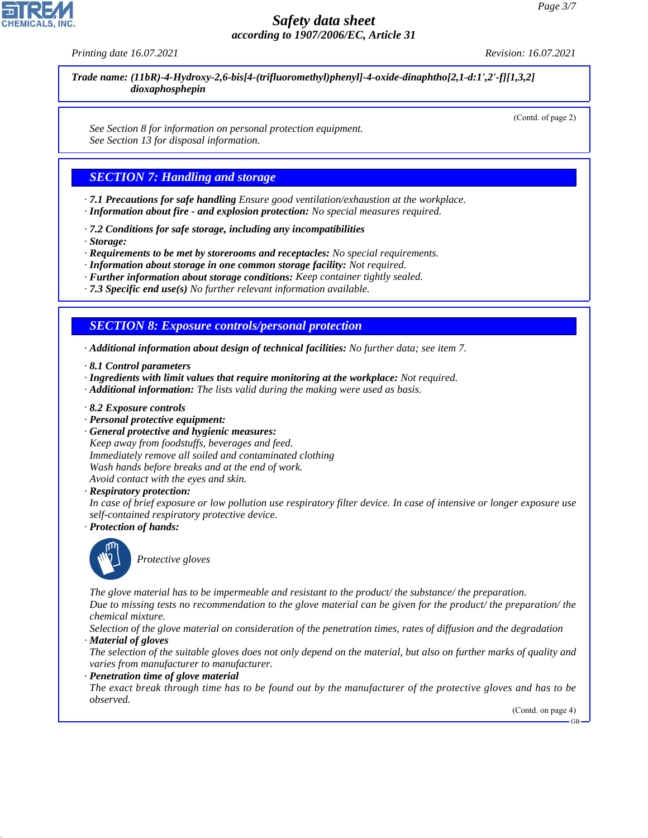*Printing date 16.07.2021 Revision: 16.07.2021*

(Contd. of page 2)

*Trade name: (11bR)-4-Hydroxy-2,6-bis[4-(trifluoromethyl)phenyl]-4-oxide-dinaphtho[2,1-d:1',2'-f][1,3,2] dioxaphosphepin*

*See Section 8 for information on personal protection equipment. See Section 13 for disposal information.*

# *SECTION 7: Handling and storage*

- *· 7.1 Precautions for safe handling Ensure good ventilation/exhaustion at the workplace.*
- *· Information about fire and explosion protection: No special measures required.*
- *· 7.2 Conditions for safe storage, including any incompatibilities*
- *· Storage:*
- *· Requirements to be met by storerooms and receptacles: No special requirements.*
- *· Information about storage in one common storage facility: Not required.*
- *· Further information about storage conditions: Keep container tightly sealed.*
- *· 7.3 Specific end use(s) No further relevant information available.*

## *SECTION 8: Exposure controls/personal protection*

- *· Additional information about design of technical facilities: No further data; see item 7.*
- *· 8.1 Control parameters*
- *· Ingredients with limit values that require monitoring at the workplace: Not required.*
- *· Additional information: The lists valid during the making were used as basis.*
- *· 8.2 Exposure controls*
- *· Personal protective equipment:*
- *· General protective and hygienic measures:*

*Keep away from foodstuffs, beverages and feed. Immediately remove all soiled and contaminated clothing Wash hands before breaks and at the end of work. Avoid contact with the eyes and skin.*

*· Respiratory protection:*

*In case of brief exposure or low pollution use respiratory filter device. In case of intensive or longer exposure use self-contained respiratory protective device.*

*· Protection of hands:*



44.1.1

\_S*Protective gloves*

*The glove material has to be impermeable and resistant to the product/ the substance/ the preparation. Due to missing tests no recommendation to the glove material can be given for the product/ the preparation/ the chemical mixture.*

*Selection of the glove material on consideration of the penetration times, rates of diffusion and the degradation · Material of gloves*

*The selection of the suitable gloves does not only depend on the material, but also on further marks of quality and varies from manufacturer to manufacturer.*

*· Penetration time of glove material*

*The exact break through time has to be found out by the manufacturer of the protective gloves and has to be observed.*

(Contd. on page 4)

GB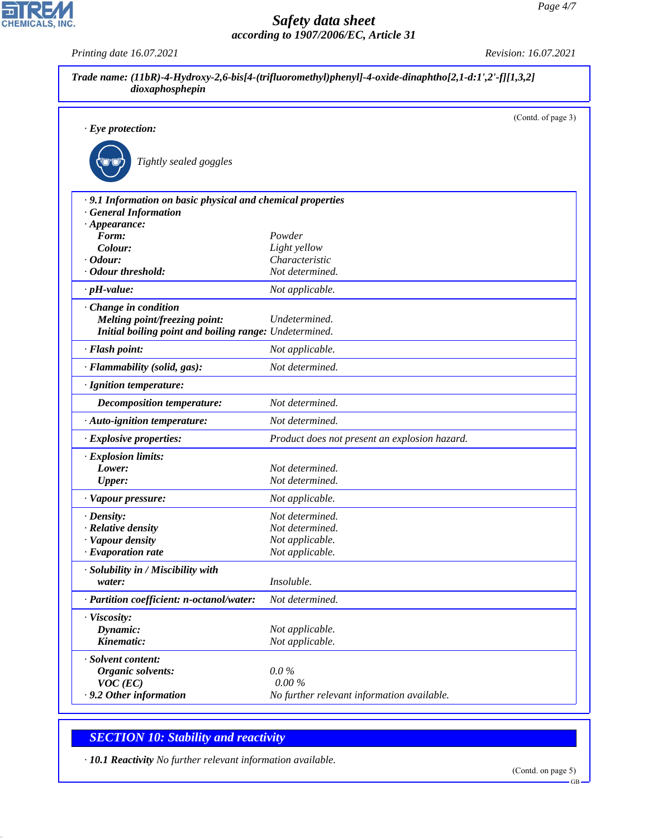*Printing date 16.07.2021 Revision: 16.07.2021*

|                                                             |                                               | (Contd. of page 3) |
|-------------------------------------------------------------|-----------------------------------------------|--------------------|
| $\cdot$ Eye protection:                                     |                                               |                    |
|                                                             |                                               |                    |
| Tightly sealed goggles                                      |                                               |                    |
|                                                             |                                               |                    |
| · 9.1 Information on basic physical and chemical properties |                                               |                    |
| <b>General Information</b>                                  |                                               |                    |
| $\cdot$ Appearance:                                         | Powder                                        |                    |
| Form:<br>Colour:                                            | Light yellow                                  |                    |
| Odour:                                                      | Characteristic                                |                    |
| <b>Odour threshold:</b>                                     | Not determined.                               |                    |
| $\cdot$ pH-value:                                           | Not applicable.                               |                    |
| Change in condition                                         |                                               |                    |
| Melting point/freezing point:                               | Undetermined.                                 |                    |
| Initial boiling point and boiling range: Undetermined.      |                                               |                    |
| · Flash point:                                              | Not applicable.                               |                    |
| · Flammability (solid, gas):                                | Not determined.                               |                    |
| · Ignition temperature:                                     |                                               |                    |
| Decomposition temperature:                                  | Not determined.                               |                    |
| · Auto-ignition temperature:                                | Not determined.                               |                    |
| · Explosive properties:                                     | Product does not present an explosion hazard. |                    |
| · Explosion limits:                                         |                                               |                    |
| Lower:                                                      | Not determined.                               |                    |
| <b>Upper:</b>                                               | Not determined.                               |                    |
| · Vapour pressure:                                          | Not applicable.                               |                    |
| · Density:                                                  | Not determined.                               |                    |
| · Relative density                                          | Not determined.                               |                    |
| · Vapour density                                            | Not applicable.                               |                    |
| · Evaporation rate                                          | Not applicable.                               |                    |
| · Solubility in / Miscibility with                          |                                               |                    |
| water:                                                      | Insoluble.                                    |                    |
| · Partition coefficient: n-octanol/water:                   | Not determined.                               |                    |
| · Viscosity:                                                |                                               |                    |
| Dynamic:                                                    | Not applicable.                               |                    |
| Kinematic:                                                  | Not applicable.                               |                    |
| · Solvent content:                                          |                                               |                    |
| Organic solvents:                                           | $0.0\%$                                       |                    |
| $VOC$ (EC)                                                  | 0.00%                                         |                    |
| · 9.2 Other information                                     | No further relevant information available.    |                    |

# *SECTION 10: Stability and reactivity*

44.1.1

CHEMICALS, INC.

*· 10.1 Reactivity No further relevant information available.*

(Contd. on page 5)

GB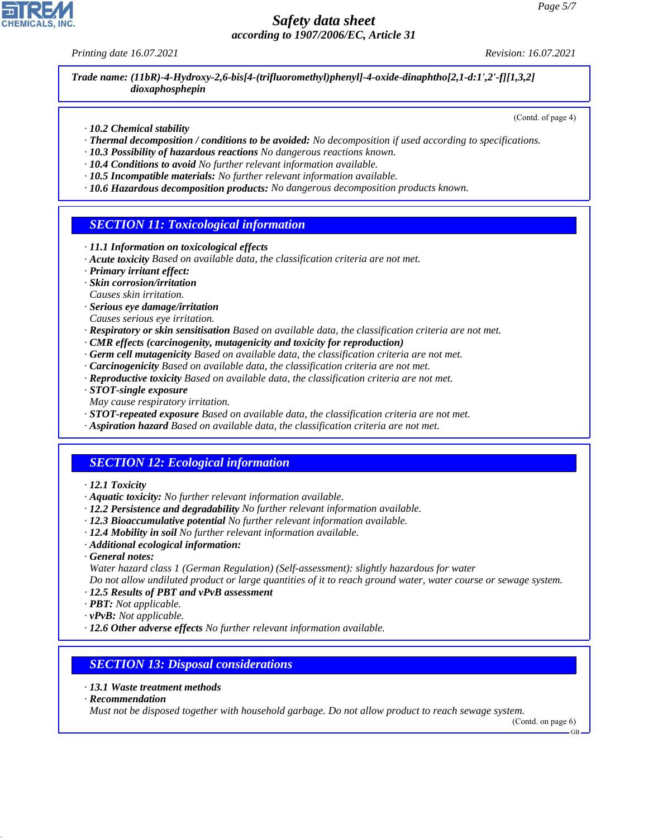*Printing date 16.07.2021 Revision: 16.07.2021*

(Contd. of page 4)

*Trade name: (11bR)-4-Hydroxy-2,6-bis[4-(trifluoromethyl)phenyl]-4-oxide-dinaphtho[2,1-d:1',2'-f][1,3,2] dioxaphosphepin*

*· 10.2 Chemical stability*

- *· Thermal decomposition / conditions to be avoided: No decomposition if used according to specifications.*
- *· 10.3 Possibility of hazardous reactions No dangerous reactions known.*
- *· 10.4 Conditions to avoid No further relevant information available.*
- *· 10.5 Incompatible materials: No further relevant information available.*
- *· 10.6 Hazardous decomposition products: No dangerous decomposition products known.*

# *SECTION 11: Toxicological information*

- *· 11.1 Information on toxicological effects*
- *· Acute toxicity Based on available data, the classification criteria are not met.*
- *· Primary irritant effect:*
- *· Skin corrosion/irritation*
- *Causes skin irritation.*
- *· Serious eye damage/irritation*
- *Causes serious eye irritation.*
- *· Respiratory or skin sensitisation Based on available data, the classification criteria are not met.*
- *· CMR effects (carcinogenity, mutagenicity and toxicity for reproduction)*
- *· Germ cell mutagenicity Based on available data, the classification criteria are not met.*
- *· Carcinogenicity Based on available data, the classification criteria are not met.*
- *· Reproductive toxicity Based on available data, the classification criteria are not met.*
- *· STOT-single exposure*
- *May cause respiratory irritation.*
- *· STOT-repeated exposure Based on available data, the classification criteria are not met.*
- *· Aspiration hazard Based on available data, the classification criteria are not met.*

# *SECTION 12: Ecological information*

- *· 12.1 Toxicity*
- *· Aquatic toxicity: No further relevant information available.*
- *· 12.2 Persistence and degradability No further relevant information available.*
- *· 12.3 Bioaccumulative potential No further relevant information available.*
- *· 12.4 Mobility in soil No further relevant information available.*
- *· Additional ecological information:*
- *· General notes:*

*Water hazard class 1 (German Regulation) (Self-assessment): slightly hazardous for water*

*Do not allow undiluted product or large quantities of it to reach ground water, water course or sewage system. · 12.5 Results of PBT and vPvB assessment*

- *· PBT: Not applicable.*
- *· vPvB: Not applicable.*
- *· 12.6 Other adverse effects No further relevant information available.*

### *SECTION 13: Disposal considerations*

- *· 13.1 Waste treatment methods*
- *· Recommendation*

44.1.1

*Must not be disposed together with household garbage. Do not allow product to reach sewage system.*

(Contd. on page 6)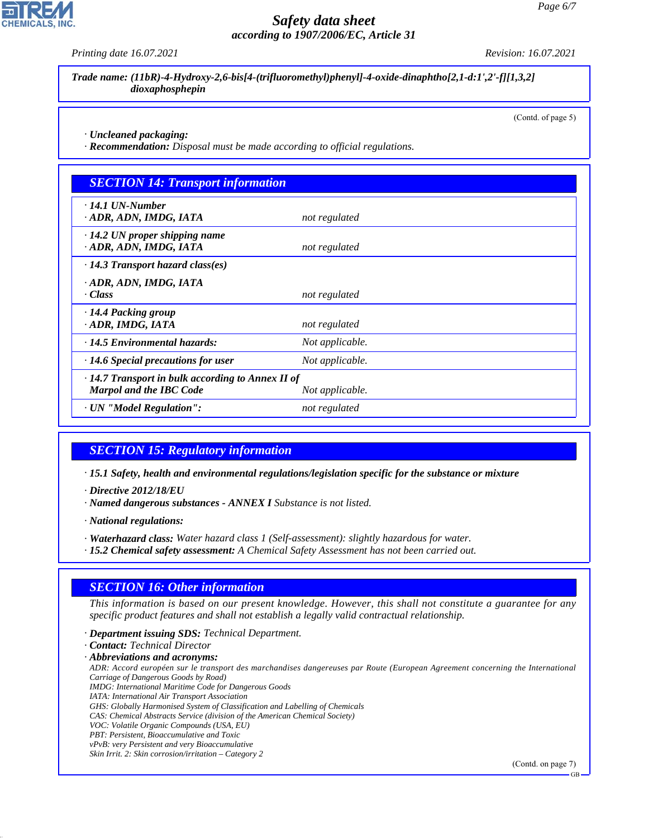*Printing date 16.07.2021 Revision: 16.07.2021*

*Trade name: (11bR)-4-Hydroxy-2,6-bis[4-(trifluoromethyl)phenyl]-4-oxide-dinaphtho[2,1-d:1',2'-f][1,3,2] dioxaphosphepin*

(Contd. of page 5)

*· Uncleaned packaging:*

*· Recommendation: Disposal must be made according to official regulations.*

| <b>SECTION 14: Transport information</b>                                                  |                 |  |
|-------------------------------------------------------------------------------------------|-----------------|--|
| $\cdot$ 14.1 UN-Number<br>ADR, ADN, IMDG, IATA                                            | not regulated   |  |
| $\cdot$ 14.2 UN proper shipping name<br>· ADR, ADN, IMDG, IATA                            | not regulated   |  |
| $\cdot$ 14.3 Transport hazard class(es)                                                   |                 |  |
| · ADR, ADN, IMDG, IATA<br>· Class                                                         | not regulated   |  |
| ⋅ 14.4 Packing group<br>· ADR, IMDG, IATA                                                 | not regulated   |  |
| $\cdot$ 14.5 Environmental hazards:                                                       | Not applicable. |  |
| $\cdot$ 14.6 Special precautions for user                                                 | Not applicable. |  |
| $\cdot$ 14.7 Transport in bulk according to Annex II of<br><b>Marpol and the IBC Code</b> | Not applicable. |  |
| · UN "Model Regulation":                                                                  | not regulated   |  |

### *SECTION 15: Regulatory information*

*· 15.1 Safety, health and environmental regulations/legislation specific for the substance or mixture*

*· Directive 2012/18/EU*

*· Named dangerous substances - ANNEX I Substance is not listed.*

*· National regulations:*

- *· Waterhazard class: Water hazard class 1 (Self-assessment): slightly hazardous for water.*
- *· 15.2 Chemical safety assessment: A Chemical Safety Assessment has not been carried out.*

### *SECTION 16: Other information*

*This information is based on our present knowledge. However, this shall not constitute a guarantee for any specific product features and shall not establish a legally valid contractual relationship.*

*· Department issuing SDS: Technical Department.*

*· Contact: Technical Director*

*· Abbreviations and acronyms:*

*ADR: Accord européen sur le transport des marchandises dangereuses par Route (European Agreement concerning the International Carriage of Dangerous Goods by Road) IMDG: International Maritime Code for Dangerous Goods*

- *IATA: International Air Transport Association*
- 
- *GHS: Globally Harmonised System of Classification and Labelling of Chemicals*
- *CAS: Chemical Abstracts Service (division of the American Chemical Society) VOC: Volatile Organic Compounds (USA, EU)*
- *PBT: Persistent, Bioaccumulative and Toxic*

44.1.1

*vPvB: very Persistent and very Bioaccumulative*

*Skin Irrit. 2: Skin corrosion/irritation – Category 2*

(Contd. on page 7)

GB